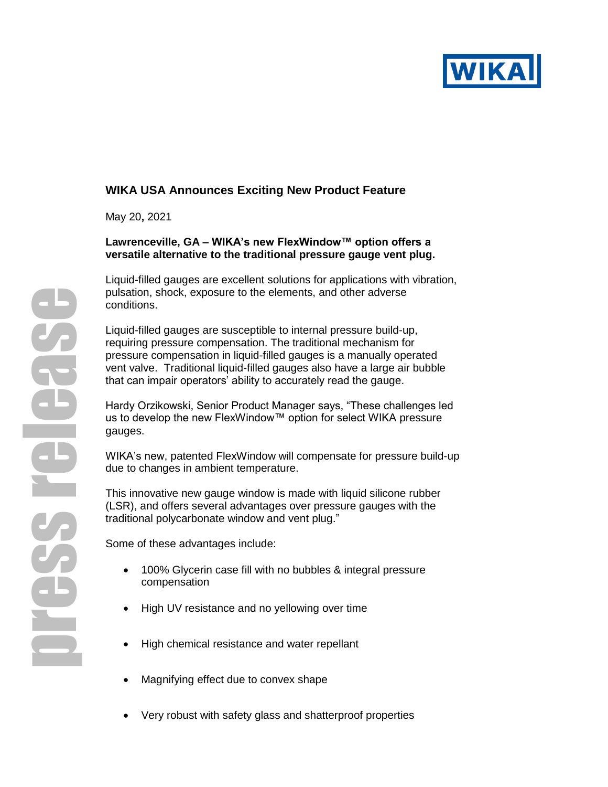

# **WIKA USA Announces Exciting New Product Feature**

May 20**,** 2021

#### **Lawrenceville, GA – WIKA's new FlexWindow™ option offers a versatile alternative to the traditional pressure gauge vent plug.**

Liquid-filled gauges are excellent solutions for applications with vibration, pulsation, shock, exposure to the elements, and other adverse conditions.

Liquid-filled gauges are susceptible to internal pressure build-up, requiring pressure compensation. The traditional mechanism for pressure compensation in liquid-filled gauges is a manually operated vent valve. Traditional liquid-filled gauges also have a large air bubble that can impair operators' ability to accurately read the gauge.

Hardy Orzikowski, Senior Product Manager says, "These challenges led us to develop the new FlexWindow™ option for select WIKA pressure gauges.

WIKA's new, patented FlexWindow will compensate for pressure build-up due to changes in ambient temperature.

This innovative new gauge window is made with liquid silicone rubber (LSR), and offers several advantages over pressure gauges with the traditional polycarbonate window and vent plug."

Some of these advantages include:

- 100% Glycerin case fill with no bubbles & integral pressure compensation
- High UV resistance and no yellowing over time
- High chemical resistance and water repellant
- Magnifying effect due to convex shape
- Very robust with safety glass and shatterproof properties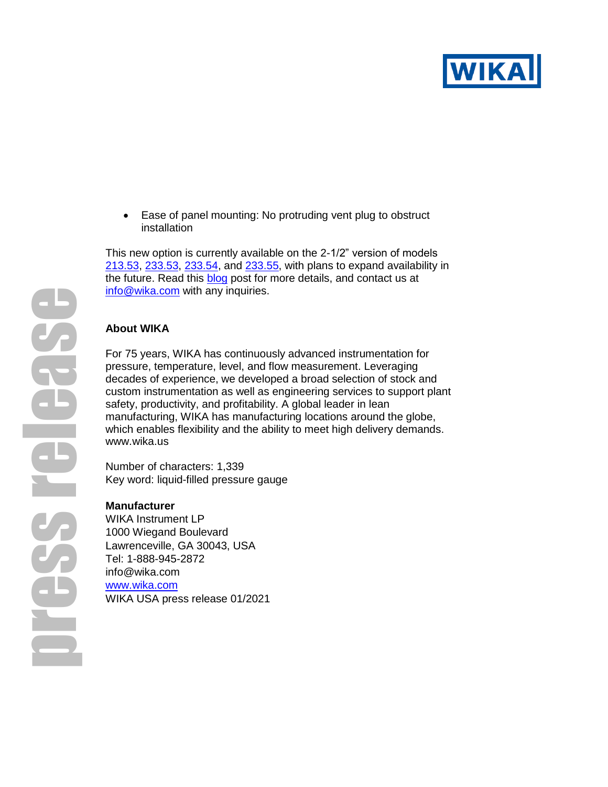

• Ease of panel mounting: No protruding vent plug to obstruct installation

This new option is currently available on the 2-1/2" version of models [213.53,](https://www.wika.us/213_53_en_us.WIKA) [233.53,](https://www.wika.us/232_53_233_53_en_us.WIKA) [233.54,](https://www.wika.us/232_54_233_54_en_us.WIKA) and [233.55,](https://www.wika.us/233_55_en_us.WIKA) with plans to expand availability in the future. Read this **blog** post for more details, and contact us at [info@wika.com](mailto:info@wika.com) with any inquiries.

### **About WIKA**

For 75 years, WIKA has continuously advanced instrumentation for pressure, temperature, level, and flow measurement. Leveraging decades of experience, we developed a broad selection of stock and custom instrumentation as well as engineering services to support plant safety, productivity, and profitability. A global leader in lean manufacturing, WIKA has manufacturing locations around the globe, which enables flexibility and the ability to meet high delivery demands. [www.wika.us](http://www.wika.us/)

Number of characters: 1,339 Key word: liquid-filled pressure gauge

#### **Manufacturer**

WIKA Instrument LP 1000 Wiegand Boulevard Lawrenceville, GA 30043, USA Tel: 1-888-945-2872 info@wika.com [www.wika.com](http://www.wika.com/) WIKA USA press release 01/2021